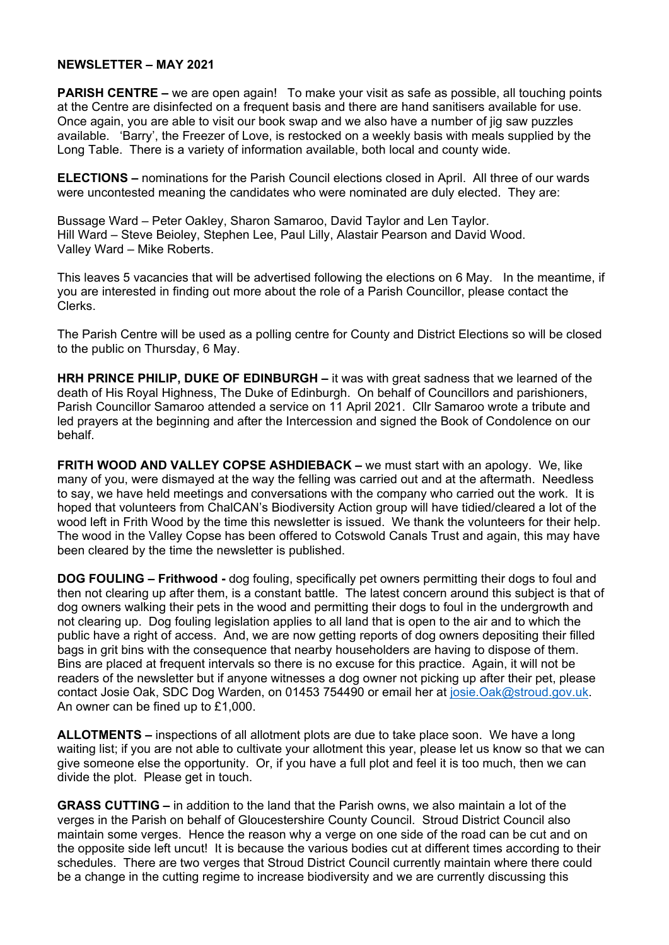## **NEWSLETTER – MAY 2021**

**PARISH CENTRE –** we are open again! To make your visit as safe as possible, all touching points at the Centre are disinfected on a frequent basis and there are hand sanitisers available for use. Once again, you are able to visit our book swap and we also have a number of jig saw puzzles available. 'Barry', the Freezer of Love, is restocked on a weekly basis with meals supplied by the Long Table. There is a variety of information available, both local and county wide.

**ELECTIONS –** nominations for the Parish Council elections closed in April. All three of our wards were uncontested meaning the candidates who were nominated are duly elected. They are:

Bussage Ward – Peter Oakley, Sharon Samaroo, David Taylor and Len Taylor. Hill Ward – Steve Beioley, Stephen Lee, Paul Lilly, Alastair Pearson and David Wood. Valley Ward – Mike Roberts.

This leaves 5 vacancies that will be advertised following the elections on 6 May. In the meantime, if you are interested in finding out more about the role of a Parish Councillor, please contact the Clerks.

The Parish Centre will be used as a polling centre for County and District Elections so will be closed to the public on Thursday, 6 May.

**HRH PRINCE PHILIP, DUKE OF EDINBURGH –** it was with great sadness that we learned of the death of His Royal Highness, The Duke of Edinburgh. On behalf of Councillors and parishioners, Parish Councillor Samaroo attended a service on 11 April 2021. Cllr Samaroo wrote a tribute and led prayers at the beginning and after the Intercession and signed the Book of Condolence on our behalf.

**FRITH WOOD AND VALLEY COPSE ASHDIEBACK –** we must start with an apology. We, like many of you, were dismayed at the way the felling was carried out and at the aftermath. Needless to say, we have held meetings and conversations with the company who carried out the work. It is hoped that volunteers from ChalCAN's Biodiversity Action group will have tidied/cleared a lot of the wood left in Frith Wood by the time this newsletter is issued. We thank the volunteers for their help. The wood in the Valley Copse has been offered to Cotswold Canals Trust and again, this may have been cleared by the time the newsletter is published.

**DOG FOULING – Frithwood -** dog fouling, specifically pet owners permitting their dogs to foul and then not clearing up after them, is a constant battle. The latest concern around this subject is that of dog owners walking their pets in the wood and permitting their dogs to foul in the undergrowth and not clearing up. Dog fouling legislation applies to all land that is open to the air and to which the public have a right of access. And, we are now getting reports of dog owners depositing their filled bags in grit bins with the consequence that nearby householders are having to dispose of them. Bins are placed at frequent intervals so there is no excuse for this practice. Again, it will not be readers of the newsletter but if anyone witnesses a dog owner not picking up after their pet, please contact Josie Oak, SDC Dog Warden, on 01453 754490 or email her at [josie.Oak@stroud.gov.uk.](mailto:josie.Oak@stroud.gov.uk) An owner can be fined up to £1,000.

**ALLOTMENTS –** inspections of all allotment plots are due to take place soon. We have a long waiting list; if you are not able to cultivate your allotment this year, please let us know so that we can give someone else the opportunity. Or, if you have a full plot and feel it is too much, then we can divide the plot. Please get in touch.

**GRASS CUTTING –** in addition to the land that the Parish owns, we also maintain a lot of the verges in the Parish on behalf of Gloucestershire County Council. Stroud District Council also maintain some verges. Hence the reason why a verge on one side of the road can be cut and on the opposite side left uncut! It is because the various bodies cut at different times according to their schedules. There are two verges that Stroud District Council currently maintain where there could be a change in the cutting regime to increase biodiversity and we are currently discussing this